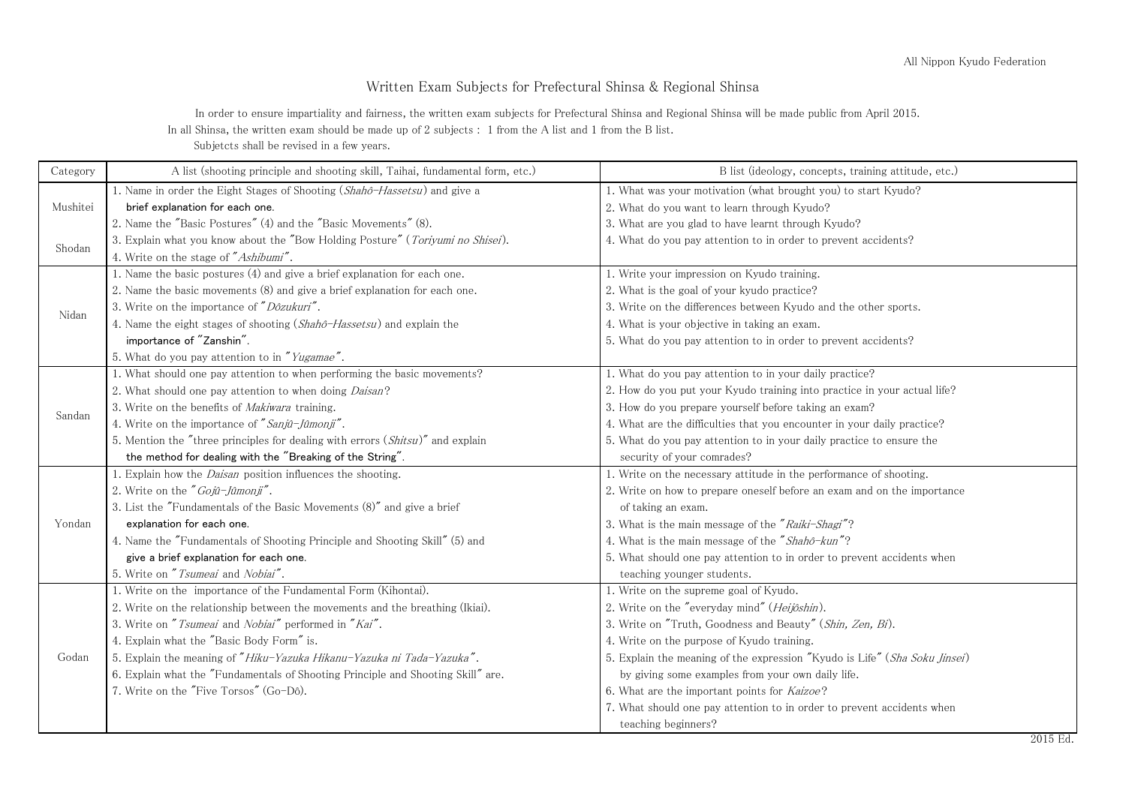## Written Exam Subjects for Prefectural Shinsa & Regional Shinsa

In order to ensure impartiality and fairness, the written exam subjects for Prefectural Shinsa and Regional Shinsa will be made public from April 2015. In all Shinsa, the written exam should be made up of 2 subjects : 1 from the A list and 1 from the B list.

Subjetcts shall be revised in a few years.

| Category | A list (shooting principle and shooting skill, Taihai, fundamental form, etc.)   | B list (ideology, concepts, training attitude, etc.)                                                                   |  |
|----------|----------------------------------------------------------------------------------|------------------------------------------------------------------------------------------------------------------------|--|
| Mushitei | 1. Name in order the Eight Stages of Shooting (Shahô-Hassetsu) and give a        | 1. What was your motivation (what brought you) to start Kyudo?                                                         |  |
|          | brief explanation for each one.                                                  | 2. What do you want to learn through Kyudo?                                                                            |  |
|          | 2. Name the "Basic Postures" (4) and the "Basic Movements" (8).                  | 3. What are you glad to have learnt through Kyudo?                                                                     |  |
| Shodan   | 3. Explain what you know about the "Bow Holding Posture" (Toriyumi no Shisei).   | 4. What do you pay attention to in order to prevent accidents?                                                         |  |
|          | 4. Write on the stage of "Ashibumi".                                             |                                                                                                                        |  |
| Nidan    | 1. Name the basic postures (4) and give a brief explanation for each one.        | 1. Write your impression on Kyudo training.                                                                            |  |
|          | 2. Name the basic movements (8) and give a brief explanation for each one.       | 2. What is the goal of your kyudo practice?                                                                            |  |
|          | 3. Write on the importance of "Dôzukuri".                                        | 3. Write on the differences between Kyudo and the other sports.                                                        |  |
|          | 4. Name the eight stages of shooting (Shahô-Hassetsu) and explain the            | 4. What is your objective in taking an exam.                                                                           |  |
|          | importance of "Zanshin".                                                         | 5. What do you pay attention to in order to prevent accidents?                                                         |  |
|          | 5. What do you pay attention to in "Yugamae".                                    |                                                                                                                        |  |
| Sandan   | 1. What should one pay attention to when performing the basic movements?         | 1. What do you pay attention to in your daily practice?                                                                |  |
|          | 2. What should one pay attention to when doing Daisan?                           | 2. How do you put your Kyudo training into practice in your actual life?                                               |  |
|          | 3. Write on the benefits of Makiwara training.                                   | 3. How do you prepare yourself before taking an exam?                                                                  |  |
|          | 4. Write on the importance of "Sanjû-Jûmonji".                                   | 4. What are the difficulties that you encounter in your daily practice?                                                |  |
|          | 5. Mention the "three principles for dealing with errors (Shitsu)" and explain   | 5. What do you pay attention to in your daily practice to ensure the                                                   |  |
|          | the method for dealing with the "Breaking of the String".                        | security of your comrades?                                                                                             |  |
| Yondan   | 1. Explain how the <i>Daisan</i> position influences the shooting.               | 1. Write on the necessary attitude in the performance of shooting.                                                     |  |
|          | 2. Write on the "Gojû-Jûmonji".                                                  | 2. Write on how to prepare oneself before an exam and on the importance                                                |  |
|          | 3. List the "Fundamentals of the Basic Movements (8)" and give a brief           | of taking an exam.                                                                                                     |  |
|          | explanation for each one.                                                        | 3. What is the main message of the "Raiki-Shagi"?                                                                      |  |
|          | 4. Name the "Fundamentals of Shooting Principle and Shooting Skill" (5) and      | 4. What is the main message of the "Shahô-kun"?                                                                        |  |
|          | give a brief explanation for each one.                                           | 5. What should one pay attention to in order to prevent accidents when                                                 |  |
|          | 5. Write on "Tsumeai and Nobiai".                                                | teaching younger students.                                                                                             |  |
| Godan    | 1. Write on the importance of the Fundamental Form (Kihontai).                   | 1. Write on the supreme goal of Kyudo.                                                                                 |  |
|          | 2. Write on the relationship between the movements and the breathing (Ikiai).    | 2. Write on the "everyday mind" ( <i>Heijôshin</i> ).                                                                  |  |
|          | 3. Write on "Tsumeai and Nobiai" performed in "Kai".                             | 3. Write on "Truth, Goodness and Beauty" (Shin, Zen, Bi).                                                              |  |
|          | 4. Explain what the "Basic Body Form" is.                                        | 4. Write on the purpose of Kyudo training.                                                                             |  |
|          | 5. Explain the meaning of "Hiku-Yazuka Hikanu-Yazuka ni Tada-Yazuka".            | 5. Explain the meaning of the expression "Kyudo is Life" (Sha Soku Jinsei)                                             |  |
|          | 6. Explain what the "Fundamentals of Shooting Principle and Shooting Skill" are. | by giving some examples from your own daily life.                                                                      |  |
|          | 7. Write on the "Five Torsos" (Go-Dô).                                           | 6. What are the important points for Kaizoe?<br>7. What should one pay attention to in order to prevent accidents when |  |
|          |                                                                                  |                                                                                                                        |  |
|          |                                                                                  | teaching beginners?                                                                                                    |  |